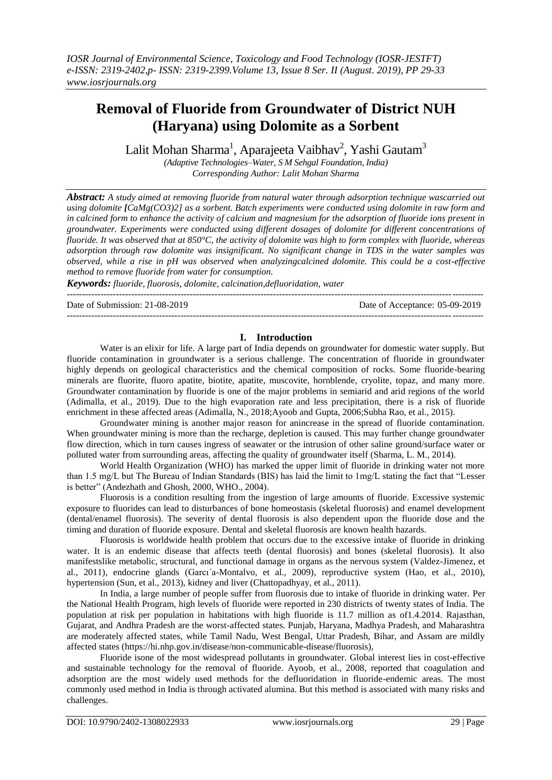# **Removal of Fluoride from Groundwater of District NUH (Haryana) using Dolomite as a Sorbent**

Lalit Mohan Sharma $^{\rm l}$ , Aparajeeta Vaibhav $^{\rm 2}$ , Yashi Gautam $^{\rm 3}$ 

*(Adaptive Technologies–Water, S M Sehgal Foundation, India) Corresponding Author: Lalit Mohan Sharma*

*Abstract: A study aimed at removing fluoride from natural water through adsorption technique wascarried out using dolomite [CaMg(CO3)2] as a sorbent. Batch experiments were conducted using dolomite in raw form and in calcined form to enhance the activity of calcium and magnesium for the adsorption of fluoride ions present in groundwater. Experiments were conducted using different dosages of dolomite for different concentrations of fluoride. It was observed that at 850°C, the activity of dolomite was high to form complex with fluoride, whereas adsorption through raw dolomite was insignificant. No significant change in TDS in the water samples was observed, while a rise in pH was observed when analyzingcalcined dolomite. This could be a cost-effective method to remove fluoride from water for consumption.*

*Keywords: fluoride, fluorosis, dolomite, calcination,defluoridation, water*

--------------------------------------------------------------------------------------------------------------------------------------- Date of Submission: 21-08-2019 Date of Acceptance: 05-09-2019

### ---------------------------------------------------------------------------------------------------------------------------------------

### **I. Introduction**

Water is an elixir for life. A large part of India depends on groundwater for domestic water supply. But fluoride contamination in groundwater is a serious challenge. The concentration of fluoride in groundwater highly depends on geological characteristics and the chemical composition of rocks. Some fluoride-bearing minerals are fluorite, fluoro apatite, biotite, apatite, muscovite, hornblende, cryolite, topaz, and many more. Groundwater contamination by fluoride is one of the major problems in semiarid and arid regions of the world (Adimalla, et al., 2019). Due to the high evaporation rate and less precipitation, there is a risk of fluoride enrichment in these affected areas (Adimalla, N., 2018;Ayoob and Gupta, 2006;Subha Rao, et al., 2015).

Groundwater mining is another major reason for anincrease in the spread of fluoride contamination. When groundwater mining is more than the recharge, depletion is caused. This may further change groundwater flow direction, which in turn causes ingress of seawater or the intrusion of other saline ground/surface water or polluted water from surrounding areas, affecting the quality of groundwater itself (Sharma, L. M., 2014).

World Health Organization (WHO) has marked the upper limit of fluoride in drinking water not more than 1.5 mg/L but The Bureau of Indian Standards (BIS) has laid the limit to 1mg/L stating the fact that "Lesser is better" (Andezhath and Ghosh, 2000, WHO., 2004).

Fluorosis is a condition resulting from the ingestion of large amounts of fluoride. Excessive systemic exposure to fluorides can lead to disturbances of bone homeostasis (skeletal fluorosis) and enamel development (dental/enamel fluorosis). The severity of dental fluorosis is also dependent upon the fluoride dose and the timing and duration of fluoride exposure. Dental and skeletal fluorosis are known health hazards.

Fluorosis is worldwide health problem that occurs due to the excessive intake of fluoride in drinking water. It is an endemic disease that affects teeth (dental fluorosis) and bones (skeletal fluorosis). It also manifestslike metabolic, structural, and functional damage in organs as the nervous system (Valdez-Jimenez, et al., 2011), endocrine glands (Garcı´a-Montalvo, et al., 2009), reproductive system (Hao, et al., 2010), hypertension (Sun, et al., 2013), kidney and liver (Chattopadhyay, et al., 2011).

In India, a large number of people suffer from fluorosis due to intake of fluoride in drinking water. Per the National Health Program, high levels of fluoride were reported in 230 districts of twenty states of India. The population at risk per population in habitations with high fluoride is 11.7 million as of1.4.2014. Rajasthan, Gujarat, and Andhra Pradesh are the worst-affected states. Punjab, Haryana, Madhya Pradesh, and Maharashtra are moderately affected states, while Tamil Nadu, West Bengal, Uttar Pradesh, Bihar, and Assam are mildly affected states [\(https://hi.nhp.gov.in/disease/non-communicable-disease/fluorosis\)](https://hi.nhp.gov.in/disease/non-communicable-disease/fluorosis),

Fluoride isone of the most widespread pollutants in groundwater. Global interest lies in cost-effective and sustainable technology for the removal of fluoride. Ayoob, et al., 2008, reported that coagulation and adsorption are the most widely used methods for the defluoridation in fluoride-endemic areas. The most commonly used method in India is through activated alumina. But this method is associated with many risks and challenges.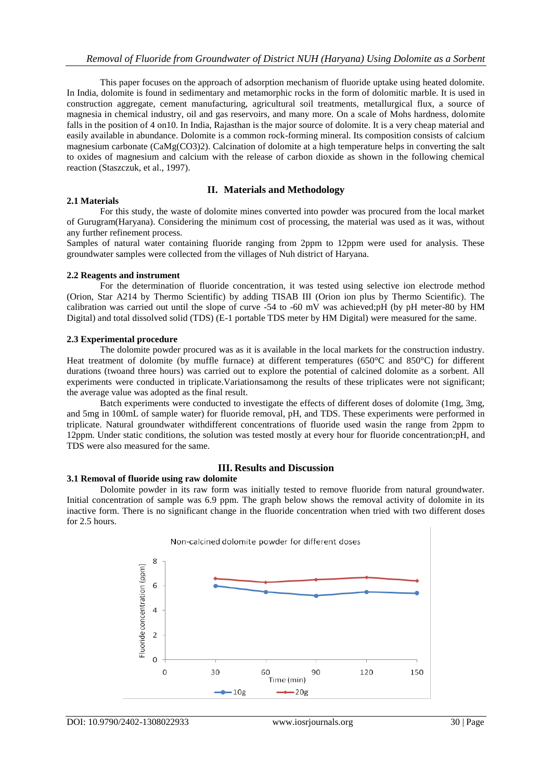This paper focuses on the approach of adsorption mechanism of fluoride uptake using heated dolomite. In India, dolomite is found in sedimentary and metamorphic rocks in the form of dolomitic marble. It is used in construction aggregate, cement manufacturing, agricultural soil treatments, metallurgical flux, a source of magnesia in chemical industry, oil and gas reservoirs, and many more. On a scale of Mohs hardness, dolomite falls in the position of 4 on10. In India, Rajasthan is the major source of dolomite. It is a very cheap material and easily available in abundance. Dolomite is a common rock-forming mineral. Its composition consists of calcium magnesium carbonate (CaMg(CO3)2). Calcination of dolomite at a high temperature helps in converting the salt to oxides of magnesium and calcium with the release of carbon dioxide as shown in the following chemical reaction (Staszczuk, et al., 1997).

# **II. Materials and Methodology**

### **2.1 Materials**

For this study, the waste of dolomite mines converted into powder was procured from the local market of Gurugram(Haryana). Considering the minimum cost of processing, the material was used as it was, without any further refinement process.

Samples of natural water containing fluoride ranging from 2ppm to 12ppm were used for analysis. These groundwater samples were collected from the villages of Nuh district of Haryana.

### **2.2 Reagents and instrument**

For the determination of fluoride concentration, it was tested using selective ion electrode method (Orion, Star A214 by Thermo Scientific) by adding TISAB III (Orion ion plus by Thermo Scientific). The calibration was carried out until the slope of curve -54 to -60 mV was achieved;pH (by pH meter-80 by HM Digital) and total dissolved solid (TDS) (E-1 portable TDS meter by HM Digital) were measured for the same.

### **2.3 Experimental procedure**

The dolomite powder procured was as it is available in the local markets for the construction industry. Heat treatment of dolomite (by muffle furnace) at different temperatures (650°C and 850°C) for different durations (twoand three hours) was carried out to explore the potential of calcined dolomite as a sorbent. All experiments were conducted in triplicate.Variationsamong the results of these triplicates were not significant; the average value was adopted as the final result.

Batch experiments were conducted to investigate the effects of different doses of dolomite (1mg, 3mg, and 5mg in 100mL of sample water) for fluoride removal, pH, and TDS. These experiments were performed in triplicate. Natural groundwater withdifferent concentrations of fluoride used wasin the range from 2ppm to 12ppm. Under static conditions, the solution was tested mostly at every hour for fluoride concentration;pH, and TDS were also measured for the same.

### **III. Results and Discussion**

### **3.1 Removal of fluoride using raw dolomite**

Dolomite powder in its raw form was initially tested to remove fluoride from natural groundwater. Initial concentration of sample was 6.9 ppm. The graph below shows the removal activity of dolomite in its inactive form. There is no significant change in the fluoride concentration when tried with two different doses for 2.5 hours.



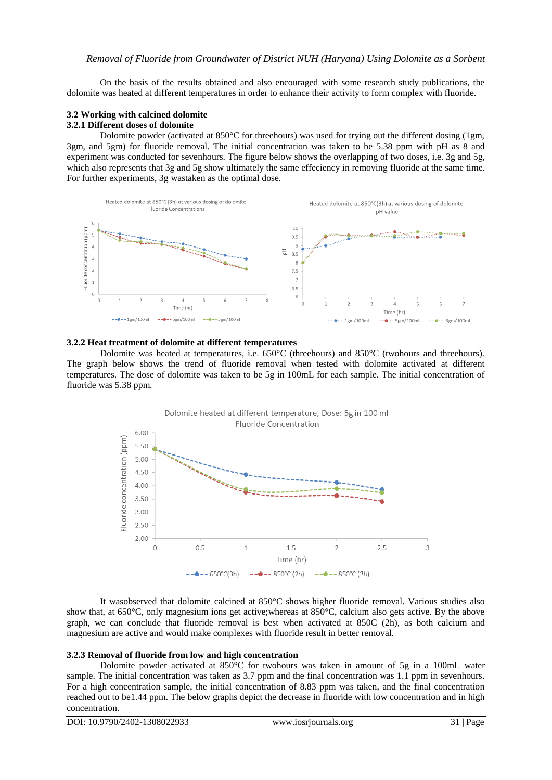On the basis of the results obtained and also encouraged with some research study publications, the dolomite was heated at different temperatures in order to enhance their activity to form complex with fluoride.

# **3.2 Working with calcined dolomite**

### **3.2.1 Different doses of dolomite**

Dolomite powder (activated at 850°C for threehours) was used for trying out the different dosing (1gm, 3gm, and 5gm) for fluoride removal. The initial concentration was taken to be 5.38 ppm with pH as 8 and experiment was conducted for sevenhours. The figure below shows the overlapping of two doses, i.e. 3g and 5g, which also represents that 3g and 5g show ultimately the same effeciency in removing fluoride at the same time. For further experiments, 3g wastaken as the optimal dose.



#### **3.2.2 Heat treatment of dolomite at different temperatures**

Dolomite was heated at temperatures, i.e. 650°C (threehours) and 850°C (twohours and threehours). The graph below shows the trend of fluoride removal when tested with dolomite activated at different temperatures. The dose of dolomite was taken to be 5g in 100mL for each sample. The initial concentration of fluoride was 5.38 ppm.



It wasobserved that dolomite calcined at 850°C shows higher fluoride removal. Various studies also show that, at 650°C, only magnesium ions get active;whereas at 850°C, calcium also gets active. By the above graph, we can conclude that fluoride removal is best when activated at 850C (2h), as both calcium and magnesium are active and would make complexes with fluoride result in better removal.

# **3.2.3 Removal of fluoride from low and high concentration**

Dolomite powder activated at 850°C for twohours was taken in amount of 5g in a 100mL water sample. The initial concentration was taken as 3.7 ppm and the final concentration was 1.1 ppm in sevenhours. For a high concentration sample, the initial concentration of 8.83 ppm was taken, and the final concentration reached out to be1.44 ppm. The below graphs depict the decrease in fluoride with low concentration and in high concentration.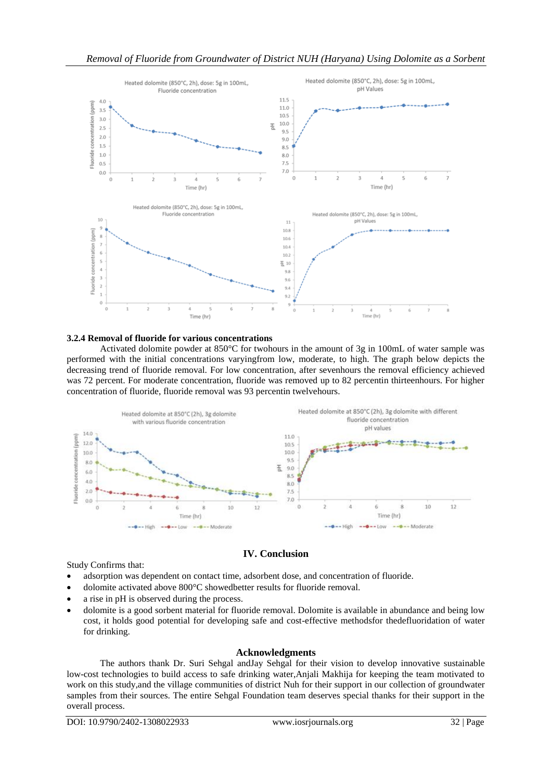

#### **3.2.4 Removal of fluoride for various concentrations**

Activated dolomite powder at 850°C for twohours in the amount of 3g in 100mL of water sample was performed with the initial concentrations varyingfrom low, moderate, to high. The graph below depicts the decreasing trend of fluoride removal. For low concentration, after sevenhours the removal efficiency achieved was 72 percent. For moderate concentration, fluoride was removed up to 82 percentin thirteenhours. For higher concentration of fluoride, fluoride removal was 93 percentin twelvehours.



# **IV. Conclusion**

Study Confirms that:

- adsorption was dependent on contact time, adsorbent dose, and concentration of fluoride.
- dolomite activated above 800°C showedbetter results for fluoride removal.
- a rise in pH is observed during the process.
- dolomite is a good sorbent material for fluoride removal. Dolomite is available in abundance and being low cost, it holds good potential for developing safe and cost-effective methodsfor thedefluoridation of water for drinking.

### **Acknowledgments**

The authors thank Dr. Suri Sehgal andJay Sehgal for their vision to develop innovative sustainable low-cost technologies to build access to safe drinking water,Anjali Makhija for keeping the team motivated to work on this study,and the village communities of district Nuh for their support in our collection of groundwater samples from their sources. The entire Sehgal Foundation team deserves special thanks for their support in the overall process.

DOI: 10.9790/2402-1308022933 www.iosrjournals.org 32 | Page